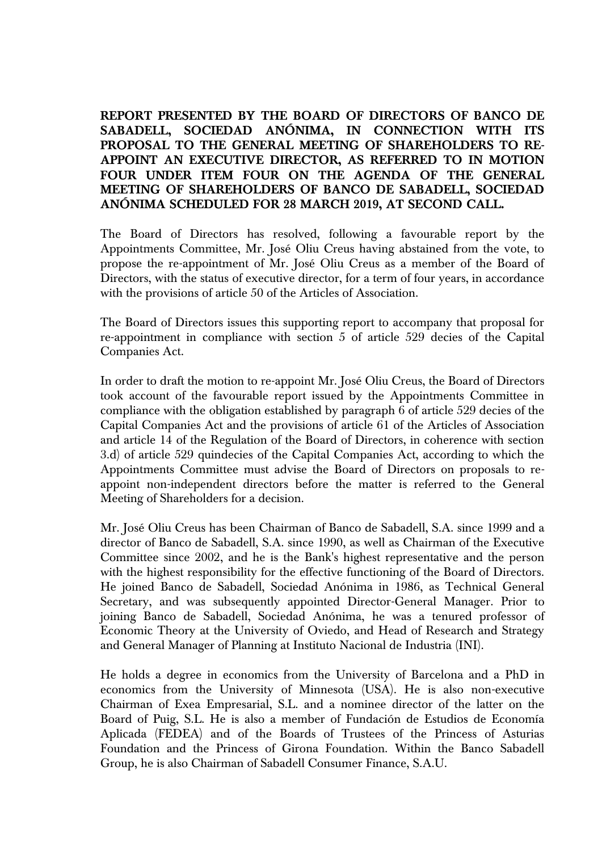## **REPORT PRESENTED BY THE BOARD OF DIRECTORS OF BANCO DE SABADELL, SOCIEDAD ANÓNIMA, IN CONNECTION WITH ITS PROPOSAL TO THE GENERAL MEETING OF SHAREHOLDERS TO RE-APPOINT AN EXECUTIVE DIRECTOR, AS REFERRED TO IN MOTION FOUR UNDER ITEM FOUR ON THE AGENDA OF THE GENERAL MEETING OF SHAREHOLDERS OF BANCO DE SABADELL, SOCIEDAD ANÓNIMA SCHEDULED FOR 28 MARCH 2019, AT SECOND CALL.**

The Board of Directors has resolved, following a favourable report by the Appointments Committee, Mr. José Oliu Creus having abstained from the vote, to propose the re-appointment of Mr. José Oliu Creus as a member of the Board of Directors, with the status of executive director, for a term of four years, in accordance with the provisions of article 50 of the Articles of Association.

The Board of Directors issues this supporting report to accompany that proposal for re-appointment in compliance with section 5 of article 529 decies of the Capital Companies Act.

In order to draft the motion to re-appoint Mr. José Oliu Creus, the Board of Directors took account of the favourable report issued by the Appointments Committee in compliance with the obligation established by paragraph 6 of article 529 decies of the Capital Companies Act and the provisions of article 61 of the Articles of Association and article 14 of the Regulation of the Board of Directors, in coherence with section 3.d) of article 529 quindecies of the Capital Companies Act, according to which the Appointments Committee must advise the Board of Directors on proposals to reappoint non-independent directors before the matter is referred to the General Meeting of Shareholders for a decision.

Mr. José Oliu Creus has been Chairman of Banco de Sabadell, S.A. since 1999 and a director of Banco de Sabadell, S.A. since 1990, as well as Chairman of the Executive Committee since 2002, and he is the Bank's highest representative and the person with the highest responsibility for the effective functioning of the Board of Directors. He joined Banco de Sabadell, Sociedad Anónima in 1986, as Technical General Secretary, and was subsequently appointed Director-General Manager. Prior to joining Banco de Sabadell, Sociedad Anónima, he was a tenured professor of Economic Theory at the University of Oviedo, and Head of Research and Strategy and General Manager of Planning at Instituto Nacional de Industria (INI).

He holds a degree in economics from the University of Barcelona and a PhD in economics from the University of Minnesota (USA). He is also non-executive Chairman of Exea Empresarial, S.L. and a nominee director of the latter on the Board of Puig, S.L. He is also a member of Fundación de Estudios de Economía Aplicada (FEDEA) and of the Boards of Trustees of the Princess of Asturias Foundation and the Princess of Girona Foundation. Within the Banco Sabadell Group, he is also Chairman of Sabadell Consumer Finance, S.A.U.